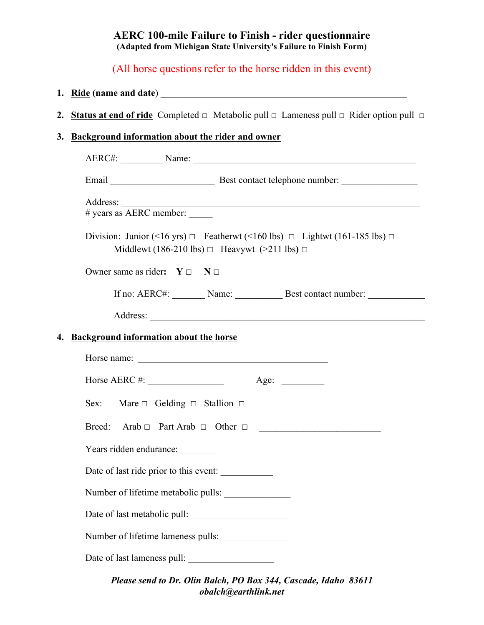## **AERC 100-mile Failure to Finish - rider questionnaire (Adapted from Michigan State University's Failure to Finish Form)**

# (All horse questions refer to the horse ridden in this event)

# **1. Ride (name and date**) \_\_\_\_\_\_\_\_\_\_\_\_\_\_\_\_\_\_\_\_\_\_\_\_\_\_\_\_\_\_\_\_\_\_\_\_\_\_\_\_\_\_\_\_\_\_\_\_\_\_\_\_

**2. Status at end of ride** Completed □ Metabolic pull □ Lameness pull □ Rider option pull□

## **3. Background information about the rider and owner**

| # years as AERC member:                |                                                                                                                                                       |
|----------------------------------------|-------------------------------------------------------------------------------------------------------------------------------------------------------|
|                                        | Division: Junior (<16 yrs) $\Box$ Featherwt (<160 lbs) $\Box$ Lightwt (161-185 lbs) $\Box$<br>Middlewt (186-210 lbs) $\Box$ Heavywt (>211 lbs) $\Box$ |
| Owner same as rider: $Y \Box$ N $\Box$ |                                                                                                                                                       |
|                                        | If no: AERC#: Name: Name: Best contact number:                                                                                                        |
|                                        |                                                                                                                                                       |
| Background information about the horse |                                                                                                                                                       |
|                                        |                                                                                                                                                       |
|                                        | Horse AERC #: $\_\_\_\_\_\_\_\_\_\_\_\_$<br>Age: $\qquad \qquad$                                                                                      |
|                                        | Sex: Mare $\Box$ Gelding $\Box$ Stallion $\Box$                                                                                                       |
|                                        | Breed: Arab $\Box$ Part Arab $\Box$ Other $\Box$                                                                                                      |
| Years ridden endurance:                |                                                                                                                                                       |
|                                        | Date of last ride prior to this event:                                                                                                                |
|                                        | Number of lifetime metabolic pulls:                                                                                                                   |
|                                        |                                                                                                                                                       |
|                                        |                                                                                                                                                       |
|                                        | Number of lifetime lameness pulls:                                                                                                                    |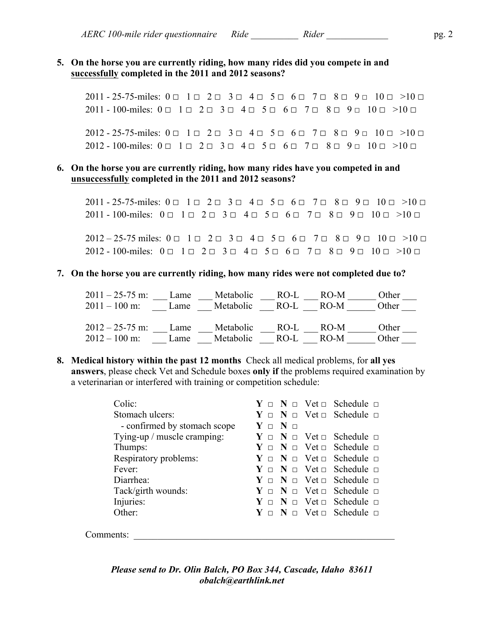#### **5. On the horse you are currently riding, how many rides did you compete in and successfully completed in the 2011 and 2012 seasons?**

2011 - 25-75-miles:  $0 \square$  1  $\square$  2  $\square$  3  $\square$  4  $\square$  5  $\square$  6  $\square$  7  $\square$  8  $\square$  9  $\square$  10  $\square$  >10  $\square$  $2011 - 100$ -miles:  $0 \square$  1  $\square$  2  $\square$  3  $\square$  4  $\square$  5  $\square$  6  $\square$  7  $\square$  8  $\square$  9  $\square$  10  $\square$  >10  $\square$ 

 $2012 - 25 - 75$ -miles:  $0 \square$   $1 \square$   $2 \square$   $3 \square$   $4 \square$   $5 \square$   $6 \square$   $7 \square$   $8 \square$   $9 \square$   $10 \square$   $>10 \square$ 2012 - 100-miles:  $0 \square$  1  $\square$  2  $\square$  3  $\square$  4  $\square$  5  $\square$  6  $\square$  7  $\square$  8  $\square$  9  $\square$  10  $\square$  >10  $\square$ 

#### **6. On the horse you are currently riding, how many rides have you competed in and unsuccessfully completed in the 2011 and 2012 seasons?**

2011 - 25-75-miles:  $0 \square$  1  $\square$  2  $\square$  3  $\square$  4  $\square$  5  $\square$  6  $\square$  7  $\square$  8  $\square$  9  $\square$  10  $\square$  >10  $\square$ 2011 - 100-miles:  $0 \square$  1  $\square$  2  $\square$  3  $\square$  4  $\square$  5  $\square$  6  $\square$  7  $\square$  8  $\square$  9  $\square$  10  $\square$  >10  $\square$ 

2012 – 25-75 miles:  $0 \square$  1  $\square$  2  $\square$  3  $\square$  4  $\square$  5  $\square$  6  $\square$  7  $\square$  8  $\square$  9  $\square$  10  $\square$  >10  $\square$ 2012 - 100-miles:  $0 = 1 - 2 - 3 - 4 - 5 - 6 - 7 - 8 - 9 - 10 - 10 - 10$ 

#### **7. On the horse you are currently riding, how many rides were not completed due to?**

2011 – 25-75 m: \_\_\_ Lame \_\_\_ Metabolic \_\_\_ RO-L \_\_\_ RO-M \_\_\_\_\_ Other \_\_\_  $2011 - 100$  m:  $\frac{1}{2011 - 100}$  m:  $\frac{1}{201}$  Lame  $\frac{1}{201}$  Metabolic  $\frac{1}{201}$  RO-M  $\frac{1}{201}$  Other  $\frac{1}{201}$ 2012 – 25-75 m: \_\_\_ Lame \_\_\_ Metabolic \_\_\_ RO-L \_\_\_ RO-M \_\_\_\_\_ Other \_\_\_  $2012 - 100$  m: Lame Metabolic RO-L RO-M Other

**8. Medical history within the past 12 months** Check all medical problems, for **all yes answers**, please check Vet and Schedule boxes **only if** the problems required examination by a veterinarian or interfered with training or competition schedule:

| Colic:                       |                                   | $Y \Box N \Box V$ et $\Box$ Schedule $\Box$        |
|------------------------------|-----------------------------------|----------------------------------------------------|
| Stomach ulcers:              |                                   | $Y \Box N \Box V$ et $\Box$ Schedule $\Box$        |
| - confirmed by stomach scope | ${\bf Y}$ $\cap$ ${\bf N}$ $\cap$ |                                                    |
| Tying-up / muscle cramping:  |                                   | $Y \Box N \Box V$ et $\Box$ Schedule $\Box$        |
| Thumps:                      |                                   | $Y \Box Y \Box Y \Box V$ et $\Box$ Schedule $\Box$ |
| Respiratory problems:        |                                   | $Y \Box Y \Box Y \Box Y$ et $\Box$ Schedule $\Box$ |
| Fever:                       |                                   | $Y \Box N \Box V$ et $\Box$ Schedule $\Box$        |
| Diarrhea:                    |                                   | $Y \Box N \Box V$ et $\Box$ Schedule $\Box$        |
| Tack/girth wounds:           |                                   | $Y \Box Y \Box V$ et $\Box$ Schedule $\Box$        |
| Injuries:                    |                                   | $Y \Box N \Box V$ et $\Box$ Schedule $\Box$        |
| Other:                       |                                   | $Y \Box N \Box V$ et $\Box$ Schedule $\Box$        |
|                              |                                   |                                                    |

Comments: \_\_\_\_\_\_\_\_\_\_\_\_\_\_\_\_\_\_\_\_\_\_\_\_\_\_\_\_\_\_\_\_\_\_\_\_\_\_\_\_\_\_\_\_\_\_\_\_\_\_\_\_\_\_\_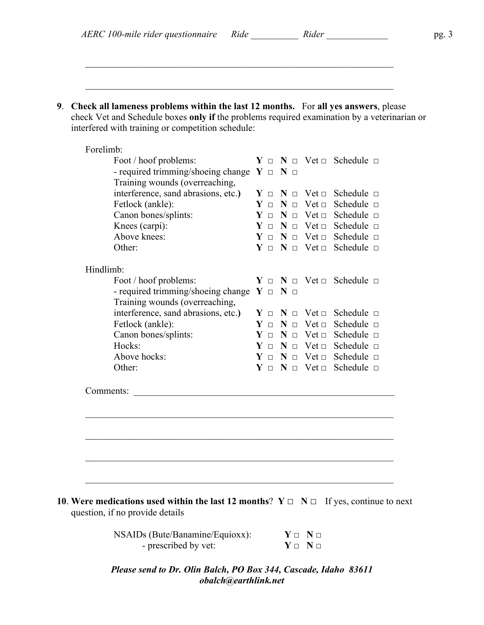| AERC 100-mile rider questionnaire Ride | Rider |  |
|----------------------------------------|-------|--|
|----------------------------------------|-------|--|

 $\mathcal{L}_\text{max}$  , and the contribution of the contribution of the contribution of the contribution of the contribution of the contribution of the contribution of the contribution of the contribution of the contribution of t

 $\mathcal{L}_\text{max} = \frac{1}{2} \sum_{i=1}^n \mathcal{L}_\text{max}(\mathbf{z}_i - \mathbf{z}_i)$ 

**9**. **Check all lameness problems within the last 12 months.** For **all yes answers**, please check Vet and Schedule boxes **only if** the problems required examination by a veterinarian or interfered with training or competition schedule:

| Forelimb:                                          |                 |                             |                                              |
|----------------------------------------------------|-----------------|-----------------------------|----------------------------------------------|
| Foot / hoof problems:                              |                 |                             | $Y \Box N \Box V$ et $\Box$ Schedule $\Box$  |
| - required trimming/shoeing change $Y \Box N \Box$ |                 |                             |                                              |
| Training wounds (overreaching,                     |                 |                             |                                              |
| interference, sand abrasions, etc.)                | $Y \Box N \Box$ |                             | $Vect \Box$ Schedule $\Box$                  |
| Fetlock (ankle):                                   | $Y \Box N \Box$ | $Vect \square$              | Schedule $\Box$                              |
| Canon bones/splints:                               |                 | $Y \Box N \Box V$ et $\Box$ | Schedule □                                   |
| Knees (carpi):                                     |                 | $Y \Box N \Box V$ et $\Box$ | Schedule $\Box$                              |
| Above knees:                                       |                 | $Y \Box Y \Box V$ et $\Box$ | Schedule $\Box$                              |
| Other:                                             |                 | $Y \Box Y \Box V$ et $\Box$ | Schedule $\Box$                              |
| Hindlimb:                                          |                 |                             |                                              |
| Foot / hoof problems:                              |                 |                             | $Y \Box Y \Box Y$ vet $\Box$ Schedule $\Box$ |
| - required trimming/shoeing change $Y \Box N \Box$ |                 |                             |                                              |
| Training wounds (overreaching,                     |                 |                             |                                              |
| interference, sand abrasions, etc.)                | $Y \Box N \Box$ |                             | $Vect \Box$ Schedule $\Box$                  |
| Fetlock (ankle):                                   | $Y \Box N \Box$ | $Vect \square$              | Schedule $\Box$                              |
| Canon bones/splints:                               | $Y \Box N \Box$ | Vet $\Box$                  | Schedule $\Box$                              |
| Hocks:                                             | $Y \Box N \Box$ | Vet $\Box$                  | Schedule $\Box$                              |
| Above hocks:                                       |                 | $Y \Box N \Box V$ et $\Box$ | Schedule $\Box$                              |
| Other:                                             |                 |                             | $Y \Box N \Box V$ et $\Box$ Schedule $\Box$  |
| Comments:                                          |                 |                             |                                              |
|                                                    |                 |                             |                                              |
|                                                    |                 |                             |                                              |
|                                                    |                 |                             |                                              |
|                                                    |                 |                             |                                              |
|                                                    |                 |                             |                                              |
|                                                    |                 |                             |                                              |
|                                                    |                 |                             |                                              |

question, if no provide details

NSAIDs (Bute/Banamine/Equioxx): **Y** □ **N** □ - prescribed by vet: **Y** □ **N** □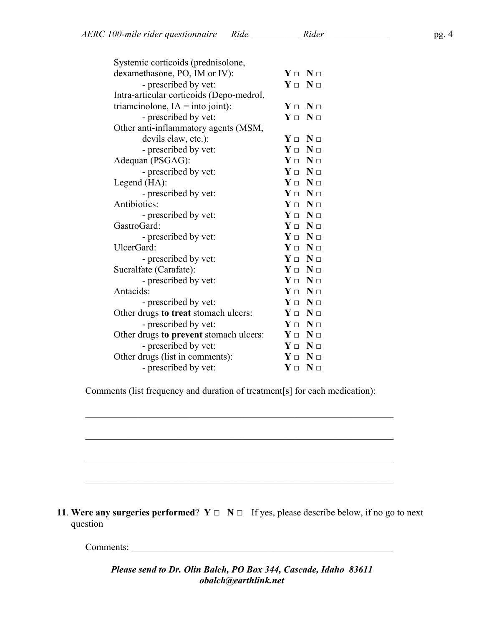| Systemic corticoids (prednisolone,        |                                 |
|-------------------------------------------|---------------------------------|
| dexamethasone, PO, IM or IV):             | $Y \Box X \Box$                 |
| - prescribed by vet:                      | $Y \Box X \Box$                 |
| Intra-articular corticoids (Depo-medrol,  |                                 |
| triamcinolone, $IA = \text{into joint}$ : | $Y \Box N \Box$                 |
| - prescribed by vet:                      | $Y \Box N \Box$                 |
| Other anti-inflammatory agents (MSM,      |                                 |
| devils claw, etc.):                       | $Y \Box N \Box$                 |
| - prescribed by vet:                      | $\mathbf{Y}$ $\Box$<br>$N \Box$ |
| Adequan (PSGAG):                          | $Y \Box N \Box$                 |
| - prescribed by vet:                      | $Y \Box N \Box$                 |
| Legend (HA):                              | $Y \Box N \Box$                 |
| - prescribed by vet:                      | $Y \Box Y \Box$                 |
| Antibiotics:                              | $Y \Box N \Box$                 |
| - prescribed by vet:                      | $Y \Box N \Box$                 |
| GastroGard:                               | $Y \Box N \Box$                 |
| - prescribed by vet:                      | $Y \Box N \Box$                 |
| UlcerGard:                                | $Y \Box N \Box$                 |
| - prescribed by vet:                      | $Y \Box N \Box$                 |
| Sucralfate (Carafate):                    | $Y \Box N \Box$                 |
| - prescribed by vet:                      | $Y \Box N \Box$                 |
| Antacids:                                 | $Y \Box N \Box$                 |
| - prescribed by vet:                      | $Y \Box X \Box$                 |
| Other drugs to treat stomach ulcers:      | $Y \Box X \Box$                 |
| - prescribed by vet:                      | $Y \Box N \Box$                 |
| Other drugs to prevent stomach ulcers:    | $Y \Box N \Box$                 |
| - prescribed by vet:                      | $Y \Box N \Box$                 |
| Other drugs (list in comments):           | $Y \Box X \Box$                 |
| - prescribed by vet:                      | $\mathbf{Y}$ $\Box$<br>$N \Box$ |

Comments (list frequency and duration of treatment[s] for each medication):

 $\mathcal{L}_\text{max}$  , and the contribution of the contribution of the contribution of the contribution of the contribution of the contribution of the contribution of the contribution of the contribution of the contribution of t

 $\mathcal{L}_\text{max} = \frac{1}{2} \sum_{i=1}^n \mathcal{L}_\text{max}(\mathbf{z}_i - \mathbf{z}_i)$ 

 $\mathcal{L}_\text{max}$  , and the contribution of the contribution of the contribution of the contribution of the contribution of the contribution of the contribution of the contribution of the contribution of the contribution of t

\_\_\_\_\_\_\_\_\_\_\_\_\_\_\_\_\_\_\_\_\_\_\_\_\_\_\_\_\_\_\_\_\_\_\_\_\_\_\_\_\_\_\_\_\_\_\_\_\_\_\_\_\_\_\_\_\_\_\_\_\_\_\_\_\_

**11. Were any surgeries performed?**  $Y \square \mathbb{N} \square$  If yes, please describe below, if no go to next question

Comments: \_\_\_\_\_\_\_\_\_\_\_\_\_\_\_\_\_\_\_\_\_\_\_\_\_\_\_\_\_\_\_\_\_\_\_\_\_\_\_\_\_\_\_\_\_\_\_\_\_\_\_\_\_\_\_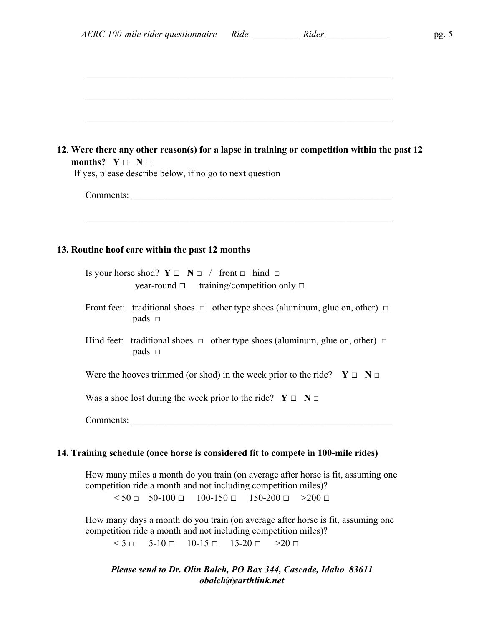| months? $Y \square \neg N \square$<br>If yes, please describe below, if no go to next question                                        |
|---------------------------------------------------------------------------------------------------------------------------------------|
|                                                                                                                                       |
|                                                                                                                                       |
| 13. Routine hoof care within the past 12 months                                                                                       |
| Is your horse shod? $Y \square \neg N \square /$ front $\square$ hind $\square$<br>year-round $\Box$ training/competition only $\Box$ |
| Front feet: traditional shoes $\Box$ other type shoes (aluminum, glue on, other) $\Box$<br>pads $\square$                             |
| Hind feet: traditional shoes $\Box$ other type shoes (aluminum, glue on, other) $\Box$<br>pads $\square$                              |
| Were the hooves trimmed (or shod) in the week prior to the ride? $Y \Box X \Box$                                                      |
| Was a shoe lost during the week prior to the ride? $Y \Box \ N \Box$                                                                  |
|                                                                                                                                       |

How many days a month do you train (on average after horse is fit, assuming one competition ride a month and not including competition miles)?

 $5 - 5 - 10 = 10 - 15 = 15 - 20 = 20 =$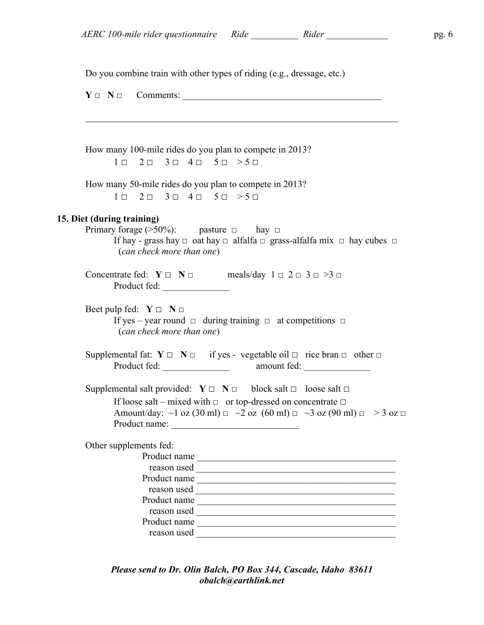**15.** 

Do you combine train with other types of riding (e.g., dressage, etc.)

| $Y \Box \quad N \Box \quad$ Comments:                                                                                                                                                                                                                                                                                                                                                                                                               |  |
|-----------------------------------------------------------------------------------------------------------------------------------------------------------------------------------------------------------------------------------------------------------------------------------------------------------------------------------------------------------------------------------------------------------------------------------------------------|--|
| How many 100-mile rides do you plan to compete in 2013?<br>$1 \square$ $2 \square$ $3 \square$ $4 \square$ $5 \square$ $> 5 \square$                                                                                                                                                                                                                                                                                                                |  |
| How many 50-mile rides do you plan to compete in 2013?<br>$1 \square$ $2 \square$ $3 \square$ $4 \square$ $5 \square$ $> 5 \square$                                                                                                                                                                                                                                                                                                                 |  |
| Diet (during training)<br>Primary forage (>50%): pasture $\Box$ hay $\Box$<br>If hay - grass hay $\Box$ oat hay $\Box$ alfalfa $\Box$ grass-alfalfa mix $\Box$ hay cubes $\Box$<br>(can check more than one)                                                                                                                                                                                                                                        |  |
| Concentrate fed: $Y \Box N \Box$ meals/day $1 \Box 2 \Box 3 \Box >3 \Box$<br>Product fed:                                                                                                                                                                                                                                                                                                                                                           |  |
| Beet pulp fed: $Y \Box \ N \Box$<br>If yes – year round $\Box$ during training $\Box$ at competitions $\Box$<br>(can check more than one)                                                                                                                                                                                                                                                                                                           |  |
| Supplemental fat: $Y \square \overline{N} \square$ if yes - vegetable oil $\square$ rice bran $\square$ other $\square$                                                                                                                                                                                                                                                                                                                             |  |
| Supplemental salt provided: $Y \square \neg N \square$ block salt $\square$ loose salt $\square$<br>If loose salt – mixed with $\Box$ or top-dressed on concentrate $\Box$<br>Amount/day: $\sim$ 1 oz (30 ml) $\equiv$ $\sim$ 2 oz (60 ml) $\equiv$ $\sim$ 3 oz (90 ml) $\equiv$ $>$ 3 oz $\equiv$                                                                                                                                                  |  |
| Other supplements fed:<br>Product name<br>the control of the control of the control of the control of the control of the control of<br>reason used and the contract of the contract of the contract of the contract of the contract of the contract of the contract of the contract of the contract of the contract of the contract of the contract of the contract o<br>Product name<br>reason used<br>Product name<br>Product name<br>reason used |  |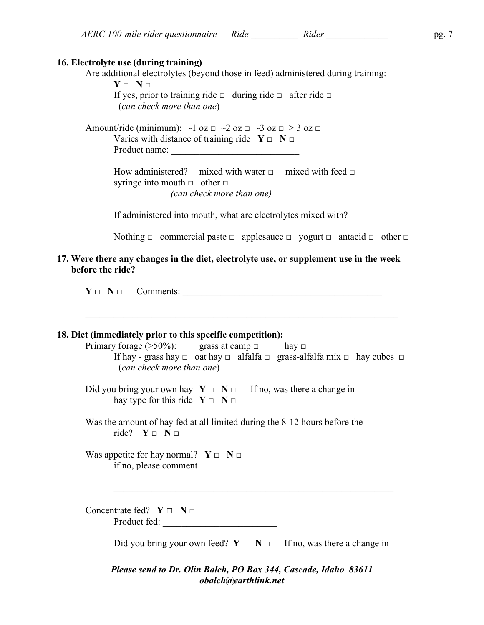$Y \cap N \cap$ If yes, prior to training ride  $\Box$  during ride  $\Box$  after ride  $\Box$ (*can check more than one*)

Amount/ride (minimum):  $\sim$ 1 oz  $\equiv$   $\sim$ 2 oz  $\equiv$   $\sim$ 3 oz  $\equiv$   $>$ 3 oz  $\equiv$ Varies with distance of training ride  $Y \Box \ N \Box$ Product name:

**16. Electrolyte use (during training)**

How administered? mixed with water  $\Box$  mixed with feed  $\Box$ syringe into mouth  $\Box$  other  $\Box$ *(can check more than one)*

If administered into mouth, what are electrolytes mixed with?

Nothing  $\Box$  commercial paste  $\Box$  applesauce  $\Box$  yogurt  $\Box$  antacid  $\Box$  other  $\Box$ 

#### **17. Were there any changes in the diet, electrolyte use, or supplement use in the week before the ride?**

 $Y \Box \quad N \Box \quad \text{Comments:}$ 

 $\mathcal{L}_\mathcal{L} = \mathcal{L}_\mathcal{L} = \mathcal{L}_\mathcal{L} = \mathcal{L}_\mathcal{L} = \mathcal{L}_\mathcal{L} = \mathcal{L}_\mathcal{L} = \mathcal{L}_\mathcal{L} = \mathcal{L}_\mathcal{L} = \mathcal{L}_\mathcal{L} = \mathcal{L}_\mathcal{L} = \mathcal{L}_\mathcal{L} = \mathcal{L}_\mathcal{L} = \mathcal{L}_\mathcal{L} = \mathcal{L}_\mathcal{L} = \mathcal{L}_\mathcal{L} = \mathcal{L}_\mathcal{L} = \mathcal{L}_\mathcal{L}$ 

#### **18. Diet (immediately prior to this specific competition):**

Primary forage ( $>50\%$ ): grass at camp  $\Box$  hay  $\Box$ If hay - grass hay  $\Box$  oat hay  $\Box$  alfalfa  $\Box$  grass-alfalfa mix  $\Box$  hay cubes  $\Box$ (*can check more than one*)

Did you bring your own hay  $Y \square \cap N \square$  If no, was there a change in hay type for this ride  $Y \square \square \square$ 

Was the amount of hay fed at all limited during the 8-12 hours before the ride? **Y** □ **N** □

Was appetite for hay normal?  $Y \Box \ N \Box$  $\frac{1}{2}$  if no, please comment  $\frac{1}{2}$ 

Concentrate fed? **Y** □ **N** □ Product fed: \_\_\_\_\_\_\_\_\_\_\_\_\_\_\_\_\_\_\_\_\_\_\_\_

Did you bring your own feed?  $Y \Box \ N \Box$  If no, was there a change in

 $\mathcal{L}_\text{max}$  , and the contribution of the contribution of the contribution of the contribution of the contribution of the contribution of the contribution of the contribution of the contribution of the contribution of t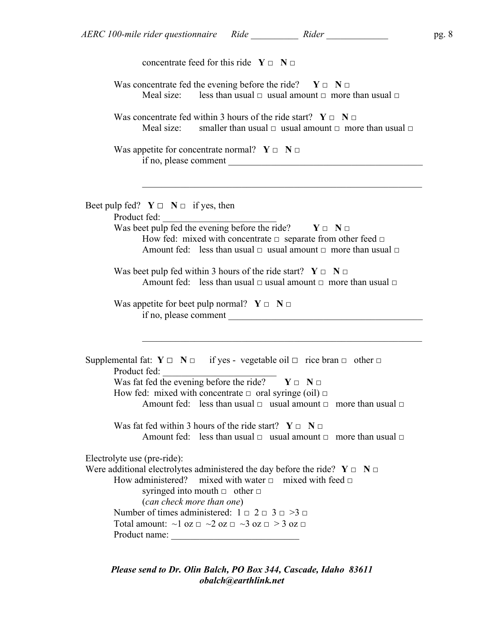| concentrate feed for this ride $Y \Box N \Box$                                                                                                                                                                                                                                                                                                                                                                                  |
|---------------------------------------------------------------------------------------------------------------------------------------------------------------------------------------------------------------------------------------------------------------------------------------------------------------------------------------------------------------------------------------------------------------------------------|
| Was concentrate fed the evening before the ride? $Y \Box Y \Box$<br>Meal size: less than usual $\Box$ usual amount $\Box$ more than usual $\Box$                                                                                                                                                                                                                                                                                |
| Was concentrate fed within 3 hours of the ride start? $Y \Box N \Box$<br>smaller than usual $\Box$ usual amount $\Box$ more than usual $\Box$<br>Meal size:                                                                                                                                                                                                                                                                     |
| Was appetite for concentrate normal? $Y \Box N \Box$                                                                                                                                                                                                                                                                                                                                                                            |
| Beet pulp fed? $Y \square \neg N \square$ if yes, then<br>Product fed:<br>Was beet pulp fed the evening before the ride? $Y \Box Y \Box$<br>How fed: mixed with concentrate $\Box$ separate from other feed $\Box$<br>Amount fed: less than usual $\Box$ usual amount $\Box$ more than usual $\Box$                                                                                                                             |
| Was beet pulp fed within 3 hours of the ride start? $Y \Box N \Box$<br>Amount fed: less than usual $\Box$ usual amount $\Box$ more than usual $\Box$<br>Was appetite for beet pulp normal? $Y \Box N \Box$                                                                                                                                                                                                                      |
| if no, please comment                                                                                                                                                                                                                                                                                                                                                                                                           |
| Supplemental fat: $Y \square \overline{N} \square$ if yes - vegetable oil $\square$ rice bran $\square$ other $\square$<br>Product fed:<br>Was fat fed the evening before the ride? $Y \Box Y \Box$<br>How fed: mixed with concentrate $\Box$ oral syringe (oil) $\Box$<br>Amount fed: less than usual $\Box$ usual amount $\Box$ more than usual $\Box$<br>Was fat fed within 3 hours of the ride start? $Y \Box N \Box$       |
| Amount fed: less than usual $\Box$ usual amount $\Box$ more than usual $\Box$                                                                                                                                                                                                                                                                                                                                                   |
| Electrolyte use (pre-ride):<br>Were additional electrolytes administered the day before the ride? $Y \Box \ N \Box$<br>How administered? mixed with water $\Box$ mixed with feed $\Box$<br>syringed into mouth $\Box$ other $\Box$<br>(can check more than one)<br>Number of times administered: $1 \square 2 \square 3 \square >3 \square$<br>Total amount: $\sim$ 1 oz $\Box \sim$ 2 oz $\Box \sim$ 3 oz $\Box >$ 3 oz $\Box$ |
|                                                                                                                                                                                                                                                                                                                                                                                                                                 |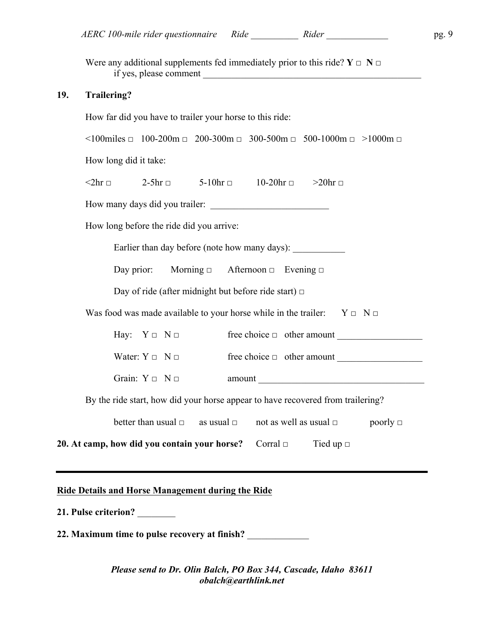Were any additional supplements fed immediately prior to this ride?  $Y \square \square \square$ if yes, please comment

#### **19. Trailering?**

How far did you have to trailer your horse to this ride:

 $\leq 100$ miles  $\Box$  100-200m  $\Box$  200-300m  $\Box$  300-500m  $\Box$  500-1000m  $\Box$  >1000m  $\Box$ 

How long did it take:

 $\leq 2$ hr  $\Box$  2-5hr  $\Box$  5-10hr  $\Box$  10-20hr  $\Box$   $>$ 20hr  $\Box$ 

How many days did you trailer:

How long before the ride did you arrive:

Earlier than day before (note how many days): \_\_\_\_\_\_\_\_\_\_\_\_\_\_\_\_\_\_\_\_\_\_\_\_\_\_\_\_\_\_\_\_\_\_

Day prior: Morning □ Afternoon □ Evening □

Day of ride (after midnight but before ride start)  $\Box$ 

Was food was made available to your horse while in the trailer:  $Y \Box N \Box$ 

Hay:  $Y \Box \neg N \Box$  free choice  $\Box$  other amount

Water: Y □ N □ free choice □ other amount \_\_\_\_\_\_\_\_\_\_\_\_\_\_\_\_\_\_

Grain:  $Y \Box \quad N \Box \qquad \qquad \text{amount}$ 

By the ride start, how did your horse appear to have recovered from trailering?

| better than usual $\Box$ | as usual □ | not as well as usual $\Box$ | poorly $\Box$ |
|--------------------------|------------|-----------------------------|---------------|
|                          |            |                             |               |

**20. At camp, how did you contain your horse?** Corral □ Tied up □

#### **Ride Details and Horse Management during the Ride**

**21. Pulse criterion?** \_\_\_\_\_\_\_\_

**22. Maximum time to pulse recovery at finish?** \_\_\_\_\_\_\_\_\_\_\_\_\_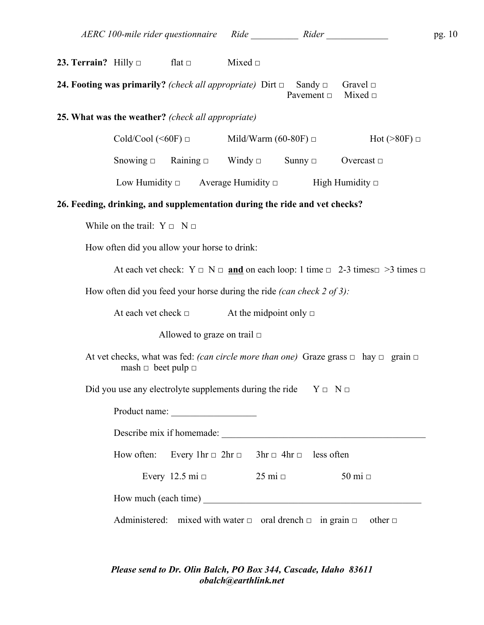| 23. Terrain? Hilly $\Box$ | flat $\Box$ | Mixed $\Box$ |
|---------------------------|-------------|--------------|
|                           |             |              |

**24. Footing was primarily?** *(check all appropriate)* Dirt □ Sandy □ Gravel □ Pavement  $\Box$  Mixed  $\Box$ 

#### **25. What was the weather?** *(check all appropriate)*

| $\text{Gold/Cool} (\leq 60F)$ $\Box$ | Mild/Warm (60-80F) $\Box$ | $Hot$ (>80F) $\Box$ |
|--------------------------------------|---------------------------|---------------------|
|--------------------------------------|---------------------------|---------------------|

Snowing  $\Box$  Raining  $\Box$  Windy  $\Box$  Sunny  $\Box$  Overcast  $\Box$ 

Low Humidity  $\Box$  Average Humidity  $\Box$  High Humidity  $\Box$ 

#### **26. Feeding, drinking, and supplementation during the ride and vet checks?**

While on the trail:  $Y \Box \neg N \Box$ 

How often did you allow your horse to drink:

At each vet check: Y □ N □ **and** on each loop: 1 time □ 2-3 times□ >3 times □

How often did you feed your horse during the ride *(can check 2 of 3):*

At each vet check  $\Box$  At the midpoint only  $\Box$ 

Allowed to graze on trail  $\square$ 

At vet checks, what was fed: *(can circle more than one)* Graze grass  $\Box$  hay  $\Box$  grain  $\Box$ mash  $\Box$  beet pulp  $\Box$ 

Did you use any electrolyte supplements during the ride  $Y \Box N \Box$ 

| Product name:                                                                         |                      |                         |              |  |  |
|---------------------------------------------------------------------------------------|----------------------|-------------------------|--------------|--|--|
| Describe mix if homemade:                                                             |                      |                         |              |  |  |
| How often: Every 1hr $\Box$ 2hr $\Box$ 3hr $\Box$ 4hr $\Box$ less often               |                      |                         |              |  |  |
|                                                                                       | Every 12.5 mi $\Box$ | $25 \text{ mi} \square$ | 50 mi $\Box$ |  |  |
| How much (each time)                                                                  |                      |                         |              |  |  |
| Administered: mixed with water $\Box$ oral drench $\Box$ in grain $\Box$ other $\Box$ |                      |                         |              |  |  |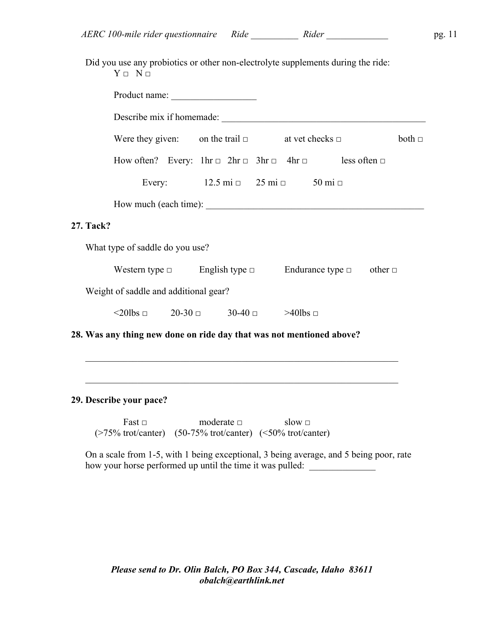Did you use any probiotics or other non-electrolyte supplements during the ride:  $Y \Box N \Box$ 

| Describe mix if homemade:                                                                |                                                                   |  |  |  |  |             |
|------------------------------------------------------------------------------------------|-------------------------------------------------------------------|--|--|--|--|-------------|
| Were they given: on the trail $\Box$ at vet checks $\Box$                                |                                                                   |  |  |  |  | both $\Box$ |
| How often? Every: $1hr \square 2hr \square 3hr \square 4hr \square$ less often $\square$ |                                                                   |  |  |  |  |             |
|                                                                                          | Every: $12.5 \text{ mi } \square$ 25 mi $\square$ 50 mi $\square$ |  |  |  |  |             |
|                                                                                          |                                                                   |  |  |  |  |             |
| 27. Tack?                                                                                |                                                                   |  |  |  |  |             |
| What type of saddle do you use?                                                          |                                                                   |  |  |  |  |             |
| Western type $\Box$ English type $\Box$ Endurance type $\Box$ other $\Box$               |                                                                   |  |  |  |  |             |
| Weight of saddle and additional gear?                                                    |                                                                   |  |  |  |  |             |
| $\leq$ 20lbs $\Box$ 20-30 $\Box$ 30-40 $\Box$ $>$ 40lbs $\Box$                           |                                                                   |  |  |  |  |             |
| 28. Was any thing new done on ride day that was not mentioned above?                     |                                                                   |  |  |  |  |             |

#### **29. Describe your pace?**

**27. Tack?** 

Fast □ moderate □ slow □ (>75% trot/canter) (50-75% trot/canter) (<50% trot/canter)

On a scale from 1-5, with 1 being exceptional, 3 being average, and 5 being poor, rate how your horse performed up until the time it was pulled:

 $\mathcal{L}_\mathcal{L} = \mathcal{L}_\mathcal{L} = \mathcal{L}_\mathcal{L} = \mathcal{L}_\mathcal{L} = \mathcal{L}_\mathcal{L} = \mathcal{L}_\mathcal{L} = \mathcal{L}_\mathcal{L} = \mathcal{L}_\mathcal{L} = \mathcal{L}_\mathcal{L} = \mathcal{L}_\mathcal{L} = \mathcal{L}_\mathcal{L} = \mathcal{L}_\mathcal{L} = \mathcal{L}_\mathcal{L} = \mathcal{L}_\mathcal{L} = \mathcal{L}_\mathcal{L} = \mathcal{L}_\mathcal{L} = \mathcal{L}_\mathcal{L}$ 

 $\mathcal{L}_\mathcal{L} = \mathcal{L}_\mathcal{L} = \mathcal{L}_\mathcal{L} = \mathcal{L}_\mathcal{L} = \mathcal{L}_\mathcal{L} = \mathcal{L}_\mathcal{L} = \mathcal{L}_\mathcal{L} = \mathcal{L}_\mathcal{L} = \mathcal{L}_\mathcal{L} = \mathcal{L}_\mathcal{L} = \mathcal{L}_\mathcal{L} = \mathcal{L}_\mathcal{L} = \mathcal{L}_\mathcal{L} = \mathcal{L}_\mathcal{L} = \mathcal{L}_\mathcal{L} = \mathcal{L}_\mathcal{L} = \mathcal{L}_\mathcal{L}$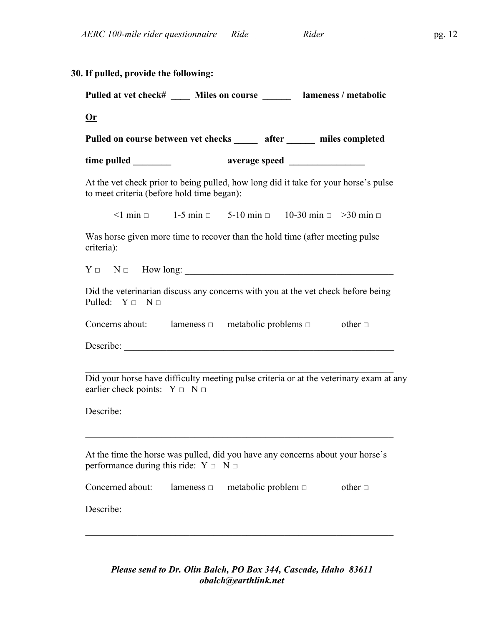| Pulled at vet check# _____ Miles on course _______ lameness / metabolic                                                           |                                                                                          |  |              |
|-----------------------------------------------------------------------------------------------------------------------------------|------------------------------------------------------------------------------------------|--|--------------|
| <b>Or</b>                                                                                                                         |                                                                                          |  |              |
| Pulled on course between vet checks ______ after ______ miles completed                                                           |                                                                                          |  |              |
|                                                                                                                                   |                                                                                          |  |              |
| At the vet check prior to being pulled, how long did it take for your horse's pulse<br>to meet criteria (before hold time began): |                                                                                          |  |              |
|                                                                                                                                   | $\leq$ 1 min $\Box$ 1-5 min $\Box$ 5-10 min $\Box$ 10-30 min $\Box$ $\geq$ 30 min $\Box$ |  |              |
| Was horse given more time to recover than the hold time (after meeting pulse<br>criteria):                                        |                                                                                          |  |              |
| $Y \Box$ N $\Box$ How long:                                                                                                       |                                                                                          |  |              |
| Did the veterinarian discuss any concerns with you at the vet check before being<br>Pulled: $Y \Box N \Box$                       |                                                                                          |  |              |
| Concerns about: lameness $\Box$ metabolic problems $\Box$ other $\Box$                                                            |                                                                                          |  |              |
|                                                                                                                                   |                                                                                          |  |              |
|                                                                                                                                   |                                                                                          |  |              |
| Did your horse have difficulty meeting pulse criteria or at the veterinary exam at any<br>earlier check points: $Y \Box N \Box$   |                                                                                          |  |              |
| Describe:                                                                                                                         |                                                                                          |  |              |
|                                                                                                                                   |                                                                                          |  |              |
| At the time the horse was pulled, did you have any concerns about your horse's<br>performance during this ride: $Y \Box N \Box$   |                                                                                          |  |              |
|                                                                                                                                   |                                                                                          |  | other $\Box$ |
| Concerned about: lameness $\Box$ metabolic problem $\Box$                                                                         |                                                                                          |  |              |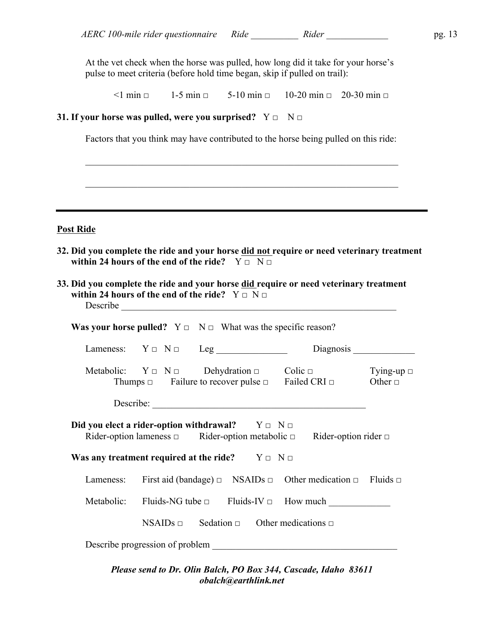At the vet check when the horse was pulled, how long did it take for your horse's pulse to meet criteria (before hold time began, skip if pulled on trail):

 $\leq$ 1 min  $\Box$  1-5 min  $\Box$  5-10 min  $\Box$  10-20 min  $\Box$  20-30 min  $\Box$ 

#### **31.** If your horse was pulled, were you surprised?  $Y \Box \Box \Box$

Factors that you think may have contributed to the horse being pulled on this ride:

 $\mathcal{L}_\mathcal{L} = \mathcal{L}_\mathcal{L} = \mathcal{L}_\mathcal{L} = \mathcal{L}_\mathcal{L} = \mathcal{L}_\mathcal{L} = \mathcal{L}_\mathcal{L} = \mathcal{L}_\mathcal{L} = \mathcal{L}_\mathcal{L} = \mathcal{L}_\mathcal{L} = \mathcal{L}_\mathcal{L} = \mathcal{L}_\mathcal{L} = \mathcal{L}_\mathcal{L} = \mathcal{L}_\mathcal{L} = \mathcal{L}_\mathcal{L} = \mathcal{L}_\mathcal{L} = \mathcal{L}_\mathcal{L} = \mathcal{L}_\mathcal{L}$ 

 $\mathcal{L}_\text{max} = \mathcal{L}_\text{max} = \mathcal{L}_\text{max} = \mathcal{L}_\text{max} = \mathcal{L}_\text{max} = \mathcal{L}_\text{max} = \mathcal{L}_\text{max} = \mathcal{L}_\text{max} = \mathcal{L}_\text{max} = \mathcal{L}_\text{max} = \mathcal{L}_\text{max} = \mathcal{L}_\text{max} = \mathcal{L}_\text{max} = \mathcal{L}_\text{max} = \mathcal{L}_\text{max} = \mathcal{L}_\text{max} = \mathcal{L}_\text{max} = \mathcal{L}_\text{max} = \mathcal{$ 

#### **Post Ride**

- **32. Did you complete the ride and your horse did not require or need veterinary treatment within 24 hours of the end of the ride?**  $Y \Box \ N \Box$
- **33. Did you complete the ride and your horse did require or need veterinary treatment within 24 hours of the end of the ride?**  $Y \Box N \Box$ Describe

| <b>Was your horse pulled?</b> $Y \square \neg N \square$ What was the specific reason? |                                                                                                                                                   |  |                                                                                      |                                 |
|----------------------------------------------------------------------------------------|---------------------------------------------------------------------------------------------------------------------------------------------------|--|--------------------------------------------------------------------------------------|---------------------------------|
|                                                                                        | Lameness: $Y \Box N \Box \text{ Leg}$                                                                                                             |  | Diagnosis                                                                            |                                 |
|                                                                                        | Metabolic: $Y \square \square Y \square$ Dehydration $\square$ Colic $\square$<br>Thumps $\Box$ Failure to recover pulse $\Box$ Failed CRI $\Box$ |  |                                                                                      | Tying-up $\Box$<br>Other $\Box$ |
|                                                                                        |                                                                                                                                                   |  |                                                                                      |                                 |
| Did you elect a rider-option withdrawal? $Y \Box Y \Box$                               |                                                                                                                                                   |  | Rider-option lameness $\Box$ Rider-option metabolic $\Box$ Rider-option rider $\Box$ |                                 |
| Was any treatment required at the ride? $Y \Box Y \Box$                                |                                                                                                                                                   |  |                                                                                      |                                 |
| Lameness:                                                                              |                                                                                                                                                   |  | First aid (bandage) $\Box$ NSAIDs $\Box$ Other medication $\Box$ Fluids $\Box$       |                                 |
|                                                                                        |                                                                                                                                                   |  |                                                                                      |                                 |
|                                                                                        |                                                                                                                                                   |  | NSAIDs $\Box$ Sedation $\Box$ Other medications $\Box$                               |                                 |
|                                                                                        | Describe progression of problem                                                                                                                   |  |                                                                                      |                                 |